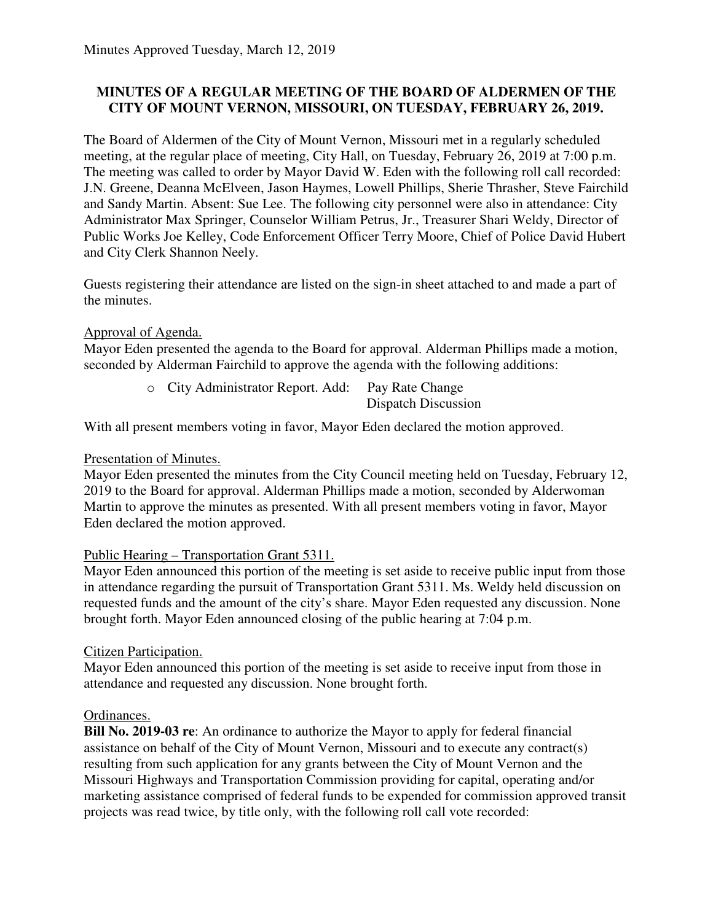# **MINUTES OF A REGULAR MEETING OF THE BOARD OF ALDERMEN OF THE CITY OF MOUNT VERNON, MISSOURI, ON TUESDAY, FEBRUARY 26, 2019.**

The Board of Aldermen of the City of Mount Vernon, Missouri met in a regularly scheduled meeting, at the regular place of meeting, City Hall, on Tuesday, February 26, 2019 at 7:00 p.m. The meeting was called to order by Mayor David W. Eden with the following roll call recorded: J.N. Greene, Deanna McElveen, Jason Haymes, Lowell Phillips, Sherie Thrasher, Steve Fairchild and Sandy Martin. Absent: Sue Lee. The following city personnel were also in attendance: City Administrator Max Springer, Counselor William Petrus, Jr., Treasurer Shari Weldy, Director of Public Works Joe Kelley, Code Enforcement Officer Terry Moore, Chief of Police David Hubert and City Clerk Shannon Neely.

Guests registering their attendance are listed on the sign-in sheet attached to and made a part of the minutes.

# Approval of Agenda.

Mayor Eden presented the agenda to the Board for approval. Alderman Phillips made a motion, seconded by Alderman Fairchild to approve the agenda with the following additions:

| o City Administrator Report. Add: Pay Rate Change |                     |
|---------------------------------------------------|---------------------|
|                                                   | Dispatch Discussion |

With all present members voting in favor, Mayor Eden declared the motion approved.

## Presentation of Minutes.

Mayor Eden presented the minutes from the City Council meeting held on Tuesday, February 12, 2019 to the Board for approval. Alderman Phillips made a motion, seconded by Alderwoman Martin to approve the minutes as presented. With all present members voting in favor, Mayor Eden declared the motion approved.

## Public Hearing – Transportation Grant 5311.

Mayor Eden announced this portion of the meeting is set aside to receive public input from those in attendance regarding the pursuit of Transportation Grant 5311. Ms. Weldy held discussion on requested funds and the amount of the city's share. Mayor Eden requested any discussion. None brought forth. Mayor Eden announced closing of the public hearing at 7:04 p.m.

## Citizen Participation.

Mayor Eden announced this portion of the meeting is set aside to receive input from those in attendance and requested any discussion. None brought forth.

## Ordinances.

**Bill No. 2019-03 re**: An ordinance to authorize the Mayor to apply for federal financial assistance on behalf of the City of Mount Vernon, Missouri and to execute any contract(s) resulting from such application for any grants between the City of Mount Vernon and the Missouri Highways and Transportation Commission providing for capital, operating and/or marketing assistance comprised of federal funds to be expended for commission approved transit projects was read twice, by title only, with the following roll call vote recorded: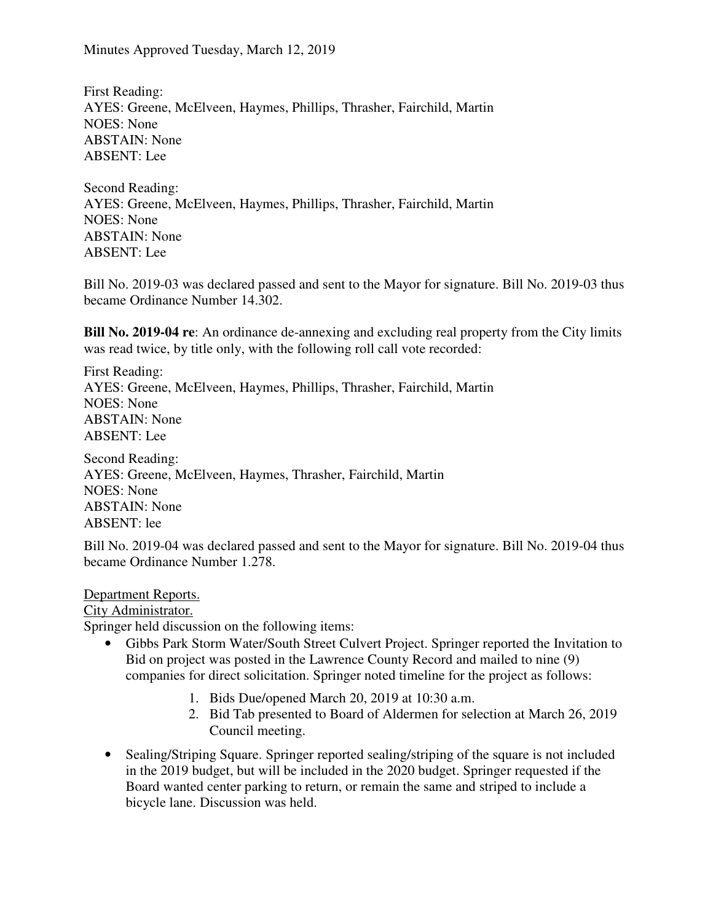Minutes Approved Tuesday, March 12, 2019

First Reading: AYES: Greene, McElveen, Haymes, Phillips, Thrasher, Fairchild, Martin NOES: None ABSTAIN: None ABSENT: Lee

Second Reading: AYES: Greene, McElveen, Haymes, Phillips, Thrasher, Fairchild, Martin NOES: None ABSTAIN: None ABSENT: Lee

Bill No. 2019-03 was declared passed and sent to the Mayor for signature. Bill No. 2019-03 thus became Ordinance Number 14.302.

**Bill No. 2019-04 re**: An ordinance de-annexing and excluding real property from the City limits was read twice, by title only, with the following roll call vote recorded:

First Reading: AYES: Greene, McElveen, Haymes, Phillips, Thrasher, Fairchild, Martin NOES: None ABSTAIN: None ABSENT: Lee

Second Reading: AYES: Greene, McElveen, Haymes, Thrasher, Fairchild, Martin NOES: None ABSTAIN: None ABSENT: lee

Bill No. 2019-04 was declared passed and sent to the Mayor for signature. Bill No. 2019-04 thus became Ordinance Number 1.278.

#### Department Reports.

#### City Administrator.

Springer held discussion on the following items:

- Gibbs Park Storm Water/South Street Culvert Project. Springer reported the Invitation to Bid on project was posted in the Lawrence County Record and mailed to nine (9) companies for direct solicitation. Springer noted timeline for the project as follows:
	- 1. Bids Due/opened March 20, 2019 at 10:30 a.m.
	- 2. Bid Tab presented to Board of Aldermen for selection at March 26, 2019 Council meeting.
- Sealing/Striping Square. Springer reported sealing/striping of the square is not included in the 2019 budget, but will be included in the 2020 budget. Springer requested if the Board wanted center parking to return, or remain the same and striped to include a bicycle lane. Discussion was held.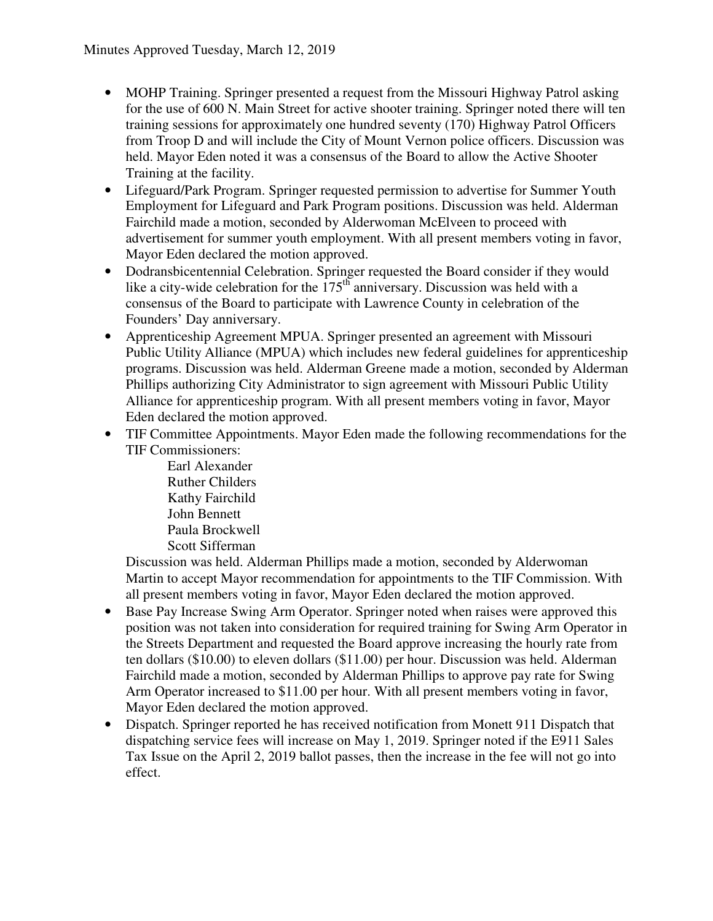- MOHP Training. Springer presented a request from the Missouri Highway Patrol asking for the use of 600 N. Main Street for active shooter training. Springer noted there will ten training sessions for approximately one hundred seventy (170) Highway Patrol Officers from Troop D and will include the City of Mount Vernon police officers. Discussion was held. Mayor Eden noted it was a consensus of the Board to allow the Active Shooter Training at the facility.
- Lifeguard/Park Program. Springer requested permission to advertise for Summer Youth Employment for Lifeguard and Park Program positions. Discussion was held. Alderman Fairchild made a motion, seconded by Alderwoman McElveen to proceed with advertisement for summer youth employment. With all present members voting in favor, Mayor Eden declared the motion approved.
- Dodransbicentennial Celebration. Springer requested the Board consider if they would like a city-wide celebration for the  $175<sup>th</sup>$  anniversary. Discussion was held with a consensus of the Board to participate with Lawrence County in celebration of the Founders' Day anniversary.
- Apprenticeship Agreement MPUA. Springer presented an agreement with Missouri Public Utility Alliance (MPUA) which includes new federal guidelines for apprenticeship programs. Discussion was held. Alderman Greene made a motion, seconded by Alderman Phillips authorizing City Administrator to sign agreement with Missouri Public Utility Alliance for apprenticeship program. With all present members voting in favor, Mayor Eden declared the motion approved.
- TIF Committee Appointments. Mayor Eden made the following recommendations for the TIF Commissioners:
	- Earl Alexander Ruther Childers Kathy Fairchild John Bennett Paula Brockwell Scott Sifferman

Discussion was held. Alderman Phillips made a motion, seconded by Alderwoman Martin to accept Mayor recommendation for appointments to the TIF Commission. With all present members voting in favor, Mayor Eden declared the motion approved.

- Base Pay Increase Swing Arm Operator. Springer noted when raises were approved this position was not taken into consideration for required training for Swing Arm Operator in the Streets Department and requested the Board approve increasing the hourly rate from ten dollars (\$10.00) to eleven dollars (\$11.00) per hour. Discussion was held. Alderman Fairchild made a motion, seconded by Alderman Phillips to approve pay rate for Swing Arm Operator increased to \$11.00 per hour. With all present members voting in favor, Mayor Eden declared the motion approved.
- Dispatch. Springer reported he has received notification from Monett 911 Dispatch that dispatching service fees will increase on May 1, 2019. Springer noted if the E911 Sales Tax Issue on the April 2, 2019 ballot passes, then the increase in the fee will not go into effect.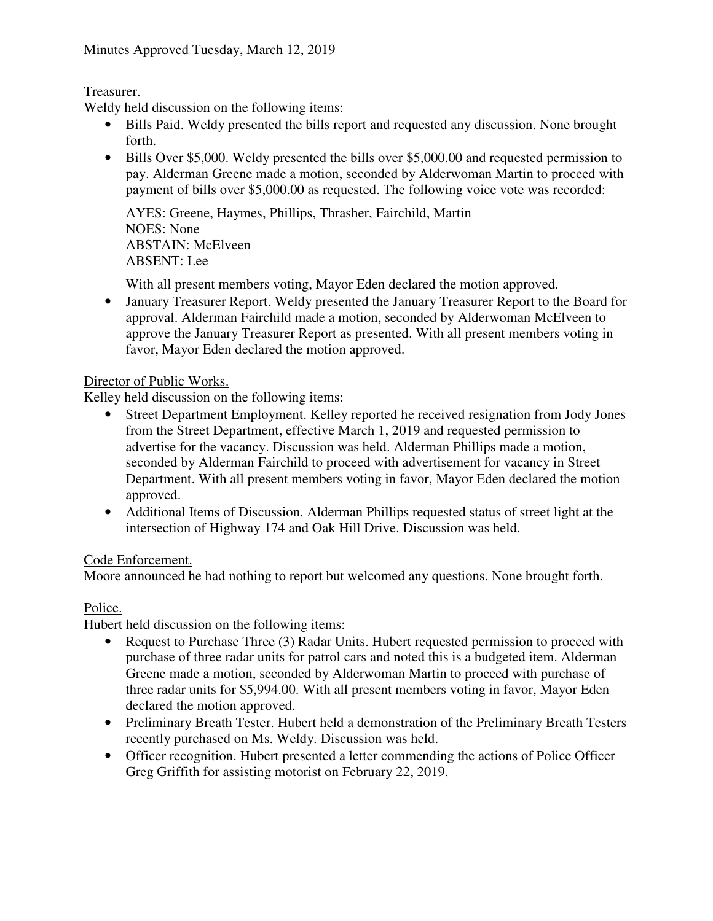# Treasurer.

Weldy held discussion on the following items:

- Bills Paid. Weldy presented the bills report and requested any discussion. None brought forth.
- Bills Over \$5,000. Weldy presented the bills over \$5,000.00 and requested permission to pay. Alderman Greene made a motion, seconded by Alderwoman Martin to proceed with payment of bills over \$5,000.00 as requested. The following voice vote was recorded:

AYES: Greene, Haymes, Phillips, Thrasher, Fairchild, Martin NOES: None ABSTAIN: McElveen ABSENT: Lee

With all present members voting, Mayor Eden declared the motion approved.

• January Treasurer Report. Weldy presented the January Treasurer Report to the Board for approval. Alderman Fairchild made a motion, seconded by Alderwoman McElveen to approve the January Treasurer Report as presented. With all present members voting in favor, Mayor Eden declared the motion approved.

## Director of Public Works.

Kelley held discussion on the following items:

- Street Department Employment. Kelley reported he received resignation from Jody Jones from the Street Department, effective March 1, 2019 and requested permission to advertise for the vacancy. Discussion was held. Alderman Phillips made a motion, seconded by Alderman Fairchild to proceed with advertisement for vacancy in Street Department. With all present members voting in favor, Mayor Eden declared the motion approved.
- Additional Items of Discussion. Alderman Phillips requested status of street light at the intersection of Highway 174 and Oak Hill Drive. Discussion was held.

## Code Enforcement.

Moore announced he had nothing to report but welcomed any questions. None brought forth.

## Police.

Hubert held discussion on the following items:

- Request to Purchase Three (3) Radar Units. Hubert requested permission to proceed with purchase of three radar units for patrol cars and noted this is a budgeted item. Alderman Greene made a motion, seconded by Alderwoman Martin to proceed with purchase of three radar units for \$5,994.00. With all present members voting in favor, Mayor Eden declared the motion approved.
- Preliminary Breath Tester. Hubert held a demonstration of the Preliminary Breath Testers recently purchased on Ms. Weldy. Discussion was held.
- Officer recognition. Hubert presented a letter commending the actions of Police Officer Greg Griffith for assisting motorist on February 22, 2019.